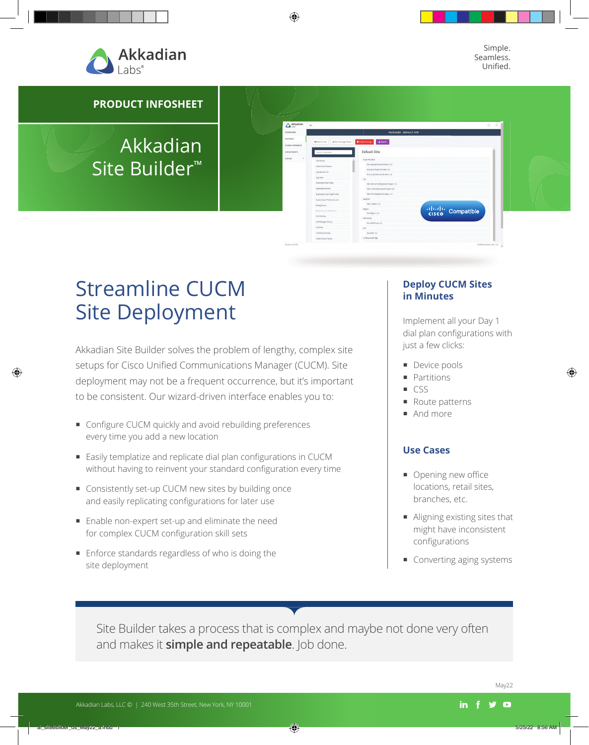

Simple. Seamless. Unified.

**PRODUCT INFOSHEET**

# Akkadian Site Builder™

# Streamline CUCM Site Deployment

Akkadian Site Builder solves the problem of lengthy, complex site setups for Cisco Unified Communications Manager (CUCM). Site deployment may not be a frequent occurrence, but it's important to be consistent. Our wizard-driven interface enables you to:

- Configure CUCM quickly and avoid rebuilding preferences every time you add a new location
- Easily templatize and replicate dial plan configurations in CUCM without having to reinvent your standard configuration every time
- Consistently set-up CUCM new sites by building once and easily replicating configurations for later use
- Enable non-expert set-up and eliminate the need for complex CUCM configuration skill sets
- **Enforce standards regardless of who is doing the** site deployment

### **Deploy CUCM Sites in Minutes**

thath<br>cisco Compatible

Implement all your Day 1 dial plan configurations with just a few clicks:

- **Device pools**
- **Partitions**
- CSS

 $\mathbf{p} = \mathbf{A}$  Export **Default Site** 

- Route patterns
- And more

#### **Use Cases**

- $\Box$  Opening new office locations, retail sites, branches, etc.
- Aligning existing sites that might have inconsistent configurations
- Converting aging systems

Site Builder takes a process that is complex and maybe not done very often and makes it **simple and repeatable**. Job done.

 $\Delta^{\text{Al}}$ 

May22